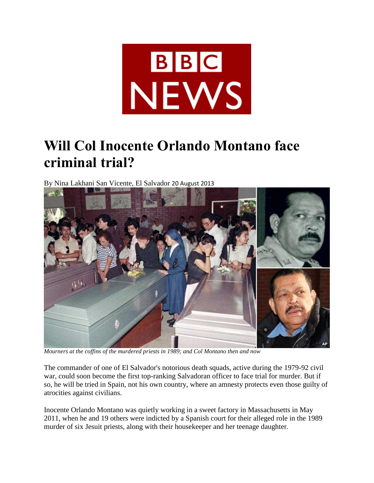

## **Will Col Inocente Orlando Montano face criminal trial?**

By Nina Lakhani San Vicente, El Salvador 20 August 2013



*Mourners at the coffins of the murdered priests in 1989; and Col Montano then and now*

The commander of one of El Salvador's notorious death squads, active during the 1979-92 civil war, could soon become the first top-ranking Salvadoran officer to face trial for murder. But if so, he will be tried in Spain, not his own country, where an amnesty protects even those guilty of atrocities against civilians.

Inocente Orlando Montano was quietly working in a sweet factory in Massachusetts in May 2011, when he and 19 others were indicted by a Spanish court for their alleged role in the 1989 murder of six Jesuit priests, along with their housekeeper and her teenage daughter.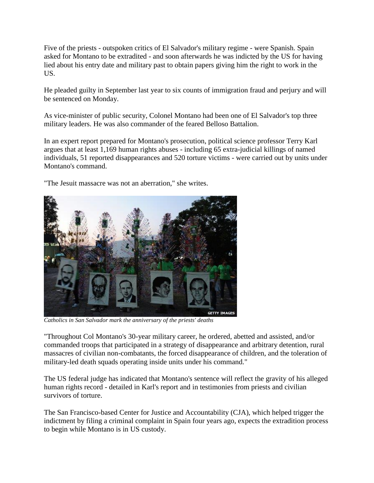Five of the priests - outspoken critics of El Salvador's military regime - were Spanish. Spain asked for Montano to be extradited - and soon afterwards he was indicted by the US for having lied about his entry date and military past to obtain papers giving him the right to work in the US.

He pleaded guilty in September last year to six counts of immigration fraud and perjury and will be sentenced on Monday.

As vice-minister of public security, Colonel Montano had been one of El Salvador's top three military leaders. He was also commander of the feared Belloso Battalion.

In an expert report prepared for Montano's prosecution, political science professor Terry Karl argues that at least 1,169 human rights abuses - including 65 extra-judicial killings of named individuals, 51 reported disappearances and 520 torture victims - were carried out by units under Montano's command.

"The Jesuit massacre was not an aberration," she writes.



*Catholics in San Salvador mark the anniversary of the priests' deaths*

"Throughout Col Montano's 30-year military career, he ordered, abetted and assisted, and/or commanded troops that participated in a strategy of disappearance and arbitrary detention, rural massacres of civilian non-combatants, the forced disappearance of children, and the toleration of military-led death squads operating inside units under his command."

The US federal judge has indicated that Montano's sentence will reflect the gravity of his alleged human rights record - detailed in Karl's report and in testimonies from priests and civilian survivors of torture.

The San Francisco-based Center for Justice and Accountability (CJA), which helped trigger the indictment by filing a criminal complaint in Spain four years ago, expects the extradition process to begin while Montano is in US custody.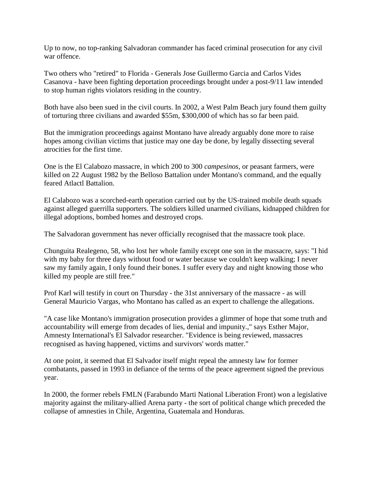Up to now, no top-ranking Salvadoran commander has faced criminal prosecution for any civil war offence.

Two others who "retired" to Florida - Generals Jose Guillermo Garcia and Carlos Vides Casanova - have been fighting deportation proceedings brought under a post-9/11 law intended to stop human rights violators residing in the country.

Both have also been sued in the civil courts. In 2002, a West Palm Beach jury found them guilty of torturing three civilians and awarded \$55m, \$300,000 of which has so far been paid.

But the immigration proceedings against Montano have already arguably done more to raise hopes among civilian victims that justice may one day be done, by legally dissecting several atrocities for the first time.

One is the El Calabozo massacre, in which 200 to 300 *campesinos*, or peasant farmers, were killed on 22 August 1982 by the Belloso Battalion under Montano's command, and the equally feared Atlactl Battalion.

El Calabozo was a scorched-earth operation carried out by the US-trained mobile death squads against alleged guerrilla supporters. The soldiers killed unarmed civilians, kidnapped children for illegal adoptions, bombed homes and destroyed crops.

The Salvadoran government has never officially recognised that the massacre took place.

Chunguita Realegeno, 58, who lost her whole family except one son in the massacre, says: "I hid with my baby for three days without food or water because we couldn't keep walking; I never saw my family again, I only found their bones. I suffer every day and night knowing those who killed my people are still free."

Prof Karl will testify in court on Thursday - the 31st anniversary of the massacre - as will General Mauricio Vargas, who Montano has called as an expert to challenge the allegations.

"A case like Montano's immigration prosecution provides a glimmer of hope that some truth and accountability will emerge from decades of lies, denial and impunity.," says Esther Major, Amnesty International's El Salvador researcher. "Evidence is being reviewed, massacres recognised as having happened, victims and survivors' words matter."

At one point, it seemed that El Salvador itself might repeal the amnesty law for former combatants, passed in 1993 in defiance of the terms of the peace agreement signed the previous year.

In 2000, the former rebels FMLN (Farabundo Marti National Liberation Front) won a legislative majority against the military-allied Arena party - the sort of political change which preceded the collapse of amnesties in Chile, Argentina, Guatemala and Honduras.